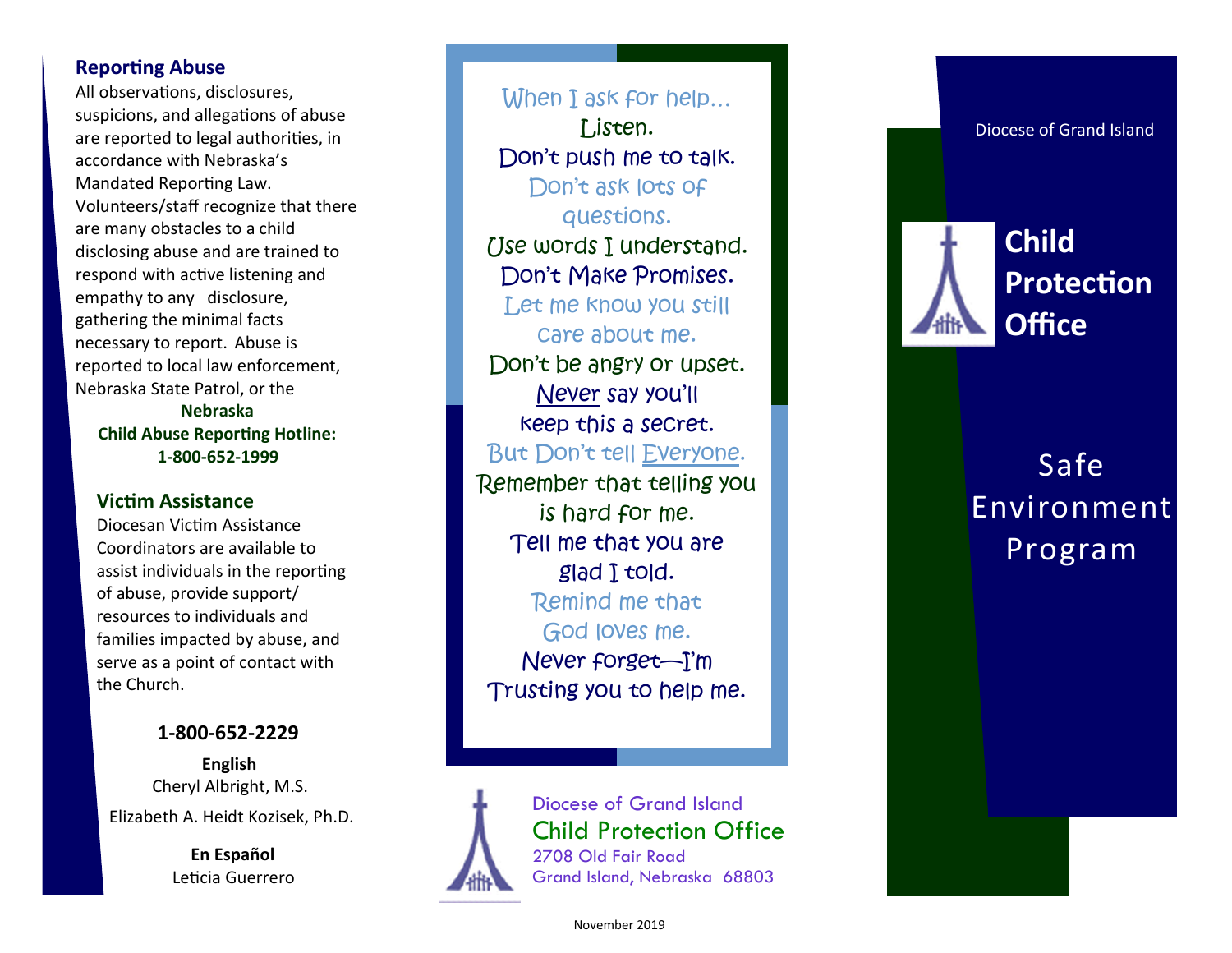# **Reporting Abuse**

All observations, disclosures, suspicions, and allegations of abuse are reported to legal authorities, in accordance with Nebraska 's Mandated Reporting Law. Volunteers/staff recognize that there are many obstacles to a child disclosing abuse and are trained to respond with active listening and empathy to any disclosure, gathering the minimal facts necessary to report. Abuse is reported to local law enforcement, Nebraska State Patrol, or the **Nebraska** 

**Child Abuse Reporting Hotline: 1-800-652-<sup>1999</sup>**

# **Victim Assistance**

Diocesan Victim Assistance Coordinators are available to assist individuals in the reporting of abuse, provide support/ resources to individuals and families impacted by abuse, and serve as a point of contact with the Church.

# **1-800 -652 -2229**

**English** Cheryl Albright, M.S. Elizabeth A. Heidt Kozisek, Ph.D.

> **En Español** Leticia Guerrero

When I ask for help... Listen. Don't push me to talk. Don't ask lots of questions. [Ise words I understand. Don't Make Promises. Let me know you still care about me. Don't be angry or upset. Never say you'll keep this a secret. But Don't tell <u>Everyone</u>. Remember that telling you is hard for me. Tell me that you are glad I told. Remind me that God loves me. Never forget—I'm Trusting you to help me.



Diocese of Grand Island Child Protection Office 2708 Old Fair Road Grand Island, Nebraska 68803



Diocese of Grand Island

# Safe Environment Program

November 2019